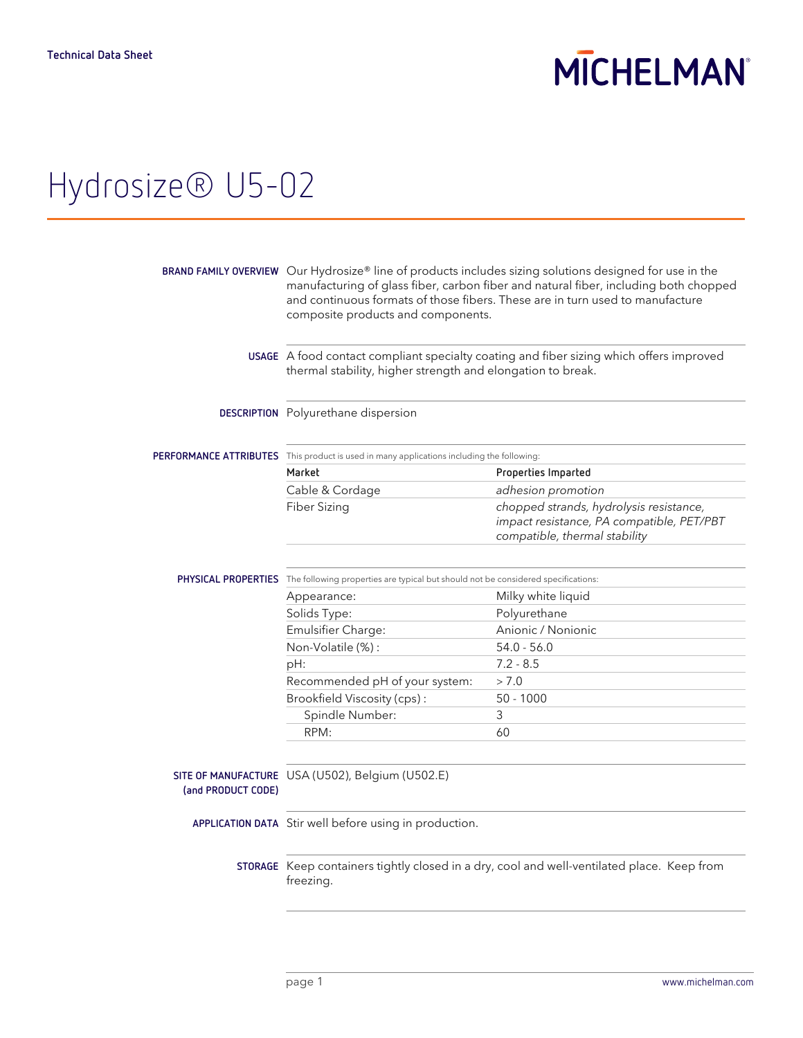# **MICHELMAN**

### Hydrosize® U5-02

|                    | BRAND FAMILY OVERVIEW Our Hydrosize® line of products includes sizing solutions designed for use in the<br>manufacturing of glass fiber, carbon fiber and natural fiber, including both chopped<br>and continuous formats of those fibers. These are in turn used to manufacture<br>composite products and components. |                                                                                                                       |  |
|--------------------|------------------------------------------------------------------------------------------------------------------------------------------------------------------------------------------------------------------------------------------------------------------------------------------------------------------------|-----------------------------------------------------------------------------------------------------------------------|--|
|                    | USAGE A food contact compliant specialty coating and fiber sizing which offers improved<br>thermal stability, higher strength and elongation to break.                                                                                                                                                                 |                                                                                                                       |  |
|                    | DESCRIPTION Polyurethane dispersion                                                                                                                                                                                                                                                                                    |                                                                                                                       |  |
|                    | <b>PERFORMANCE ATTRIBUTES</b> This product is used in many applications including the following:                                                                                                                                                                                                                       |                                                                                                                       |  |
|                    | Market                                                                                                                                                                                                                                                                                                                 | Properties Imparted                                                                                                   |  |
|                    | Cable & Cordage                                                                                                                                                                                                                                                                                                        | adhesion promotion                                                                                                    |  |
|                    | Fiber Sizing                                                                                                                                                                                                                                                                                                           | chopped strands, hydrolysis resistance,<br>impact resistance, PA compatible, PET/PBT<br>compatible, thermal stability |  |
|                    |                                                                                                                                                                                                                                                                                                                        |                                                                                                                       |  |
|                    | PHYSICAL PROPERTIES The following properties are typical but should not be considered specifications:                                                                                                                                                                                                                  |                                                                                                                       |  |
|                    | Appearance:                                                                                                                                                                                                                                                                                                            | Milky white liquid                                                                                                    |  |
|                    | Solids Type:                                                                                                                                                                                                                                                                                                           | Polyurethane                                                                                                          |  |
|                    | Emulsifier Charge:                                                                                                                                                                                                                                                                                                     | Anionic / Nonionic                                                                                                    |  |
|                    | Non-Volatile (%):                                                                                                                                                                                                                                                                                                      | $54.0 - 56.0$                                                                                                         |  |
|                    | pH:                                                                                                                                                                                                                                                                                                                    | $7.2 - 8.5$                                                                                                           |  |
|                    | Recommended pH of your system:                                                                                                                                                                                                                                                                                         | > 7.0                                                                                                                 |  |
|                    | Brookfield Viscosity (cps):                                                                                                                                                                                                                                                                                            | $50 - 1000$                                                                                                           |  |
|                    | Spindle Number:                                                                                                                                                                                                                                                                                                        | 3                                                                                                                     |  |
|                    | RPM:                                                                                                                                                                                                                                                                                                                   | 60                                                                                                                    |  |
| (and PRODUCT CODE) | SITE OF MANUFACTURE USA (U502), Belgium (U502.E)                                                                                                                                                                                                                                                                       |                                                                                                                       |  |
|                    | APPLICATION DATA Stir well before using in production.                                                                                                                                                                                                                                                                 |                                                                                                                       |  |
|                    | freezing.                                                                                                                                                                                                                                                                                                              | STORAGE Keep containers tightly closed in a dry, cool and well-ventilated place. Keep from                            |  |